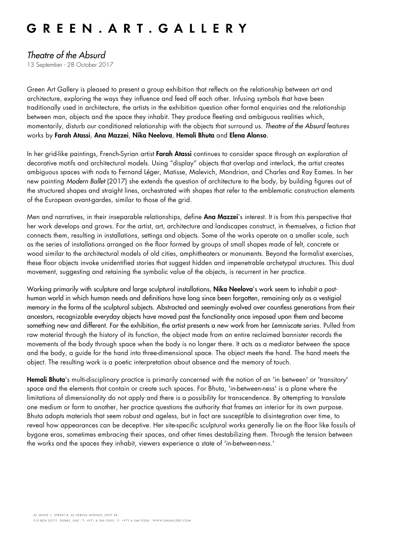## GREEN. ART. GALLERY

### *Theatre of the Absurd*

13 September - 28 October 2017

Green Art Gallery is pleased to present a group exhibition that reflects on the relationship between art and architecture, exploring the ways they influence and feed off each other. Infusing symbols that have been traditionally used in architecture, the artists in the exhibition question other formal enquiries and the relationship between man, objects and the space they inhabit. They produce fleeting and ambiguous realities which, momentarily, disturb our conditioned relationship with the objects that surround us. *Theatre of the Absurd* features works by Farah Atassi, Ana Mazzei, Nika Neelova, Hemali Bhuta and Elena Alonso.

In her grid-like paintings, French-Syrian artist Farah Atassi continues to consider space through an exploration of decorative motifs and architectural models. Using "display" objects that overlap and interlock, the artist creates ambiguous spaces with nods to Fernand Léger, Matisse, Malevich, Mondrian, and Charles and Ray Eames. In her new painting *Modern Ballet* (2017) she extends the question of architecture to the body, by building figures out of the structured shapes and straight lines, orchestrated with shapes that refer to the emblematic construction elements of the European avant-gardes, similar to those of the grid.

Men and narratives, in their inseparable relationships, define **Ana Mazzei's** interest. It is from this perspective that her work develops and grows. For the artist, art, architecture and landscapes construct, in themselves, a fiction that connects them, resulting in installations, settings and objects. Some of the works operate on a smaller scale, such as the series of installations arranged on the floor formed by groups of small shapes made of felt, concrete or wood similar to the architectural models of old cities, amphitheaters or monuments. Beyond the formalist exercises, these floor objects invoke unidentified stories that suggest hidden and impenetrable archetypal structures. This dual movement, suggesting and retaining the symbolic value of the objects, is recurrent in her practice.

Working primarily with sculpture and large sculptural installations, **Nika Neelova**'s work seem to inhabit a posthuman world in which human needs and definitions have long since been forgotten, remaining only as a vestigial memory in the forms of the sculptural subjects. Abstracted and seemingly evolved over countless generations from their ancestors, recognizable everyday objects have moved past the functionality once imposed upon them and become something new and different. For the exhibition, the artist presents a new work from her *Lemniscate* series. Pulled from raw material through the history of its function, the object made from an entire reclaimed bannister records the movements of the body through space when the body is no longer there. It acts as a mediator between the space and the body, a guide for the hand into three-dimensional space. The object meets the hand. The hand meets the object. The resulting work is a poetic interpretation about absence and the memory of touch.

Hemali Bhuta's multi-disciplinary practice is primarily concerned with the notion of an 'in between' or 'transitory' space and the elements that contain or create such spaces. For Bhuta, 'in-between-ness' is a plane where the limitations of dimensionality do not apply and there is a possibility for transcendence. By attempting to translate one medium or form to another, her practice questions the authority that frames an interior for its own purpose. Bhuta adopts materials that seem robust and ageless, but in fact are susceptible to disintegration over time, to reveal how appearances can be deceptive. Her site-specific sculptural works generally lie on the floor like fossils of bygone eras, sometimes embracing their spaces, and other times destabilizing them. Through the tension between the works and the spaces they inhabit, viewers experience a state of 'in-between-ness.'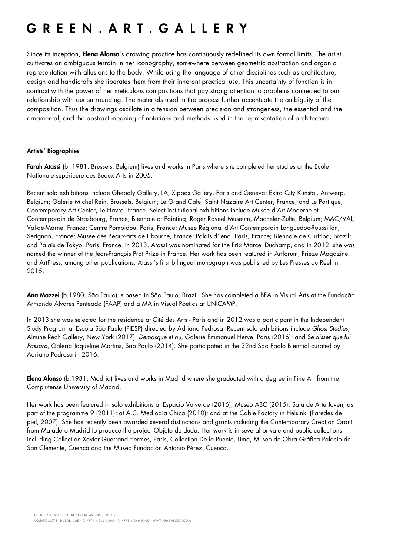# GREEN. ART. GALLERY

Since its inception, **Elena Alonso's** drawing practice has continuously redefined its own formal limits. The artist cultivates an ambiguous terrain in her iconography, somewhere between geometric abstraction and organic representation with allusions to the body. While using the language of other disciplines such as architecture, design and handicrafts she liberates them from their inherent practical use. This uncertainty of function is in contrast with the power of her meticulous compositions that pay strong attention to problems connected to our relationship with our surrounding. The materials used in the process further accentuate the ambiguity of the composition. Thus the drawings oscillate in a tension between precision and strangeness, the essential and the ornamental, and the abstract meaning of notations and methods used in the representation of architecture.

#### Artists' Biographies

Farah Atassi (b. 1981, Brussels, Belgium) lives and works in Paris where she completed her studies at the Ecole Nationale supérieure des Beaux Arts in 2005.

Recent solo exhibitions include Ghebaly Gallery, LA, Xippas Gallery, Paris and Geneva; Extra City Kunstal, Antwerp, Belgium; Galerie Michel Rein, Brussels, Belgium; Le Grand Café, Saint Nazaire Art Center, France; and Le Portique, Contemporary Art Center, Le Havre, France. Select institutional exhibitions include Musée d'Art Moderne et Contemporain de Strasbourg, France; Biennale of Painting, Roger Raveel Museum, Machelen-Zulte, Belgium; MAC/VAL, Val-de-Marne, France; Centre Pompidou, Paris, France; Musée Régional d'Art Contemporain Languedoc-Roussillon, Sérignan, France; Musée des Beaux-arts de Libourne, France; Palais d'Iéna, Paris, France; Biennale de Curitiba, Brazil; and Palais de Tokyo, Paris, France. In 2013, Atassi was nominated for the Prix Marcel Duchamp, and in 2012, she was named the winner of the Jean-Francois Prat Prize in France. Her work has been featured in Artforum, Frieze Magazine, and ArtPress, among other publications. Atassi's first bilingual monograph was published by Les Presses du Réel in 2015.

Ana Mazzei (b.1980, São Paulo) is based in São Paulo, Brazil. She has completed a BFA in Visual Arts at the Fundação Armando Alvares Penteado (FAAP) and a MA in Visual Poetics at UNICAMP.

In 2013 she was selected for the residence at Cité des Arts - Paris and in 2012 was a participant in the Independent Study Program at Escola São Paulo (PIESP) directed by Adriano Pedrosa. Recent solo exhibitions include *Ghost Studies*, Almine Rech Gallery, New York (2017); *Demasque et nu*, Galerie Emmanuel Herve, Paris (2016); and *Se disser que fui Passaro*, Galeria Jaqueline Martins, São Paulo (2014). She participated in the 32nd Sao Paolo Biennial curated by Adriano Pedrosa in 2016.

Elena Alonso (b.1981, Madrid) lives and works in Madrid where she graduated with a degree in Fine Art from the Complutense University of Madrid.

Her work has been featured in solo exhibitions at Espacio Valverde (2016); Museo ABC (2015); Sala de Arte Joven, as part of the programme 9 (2011); at A.C. Mediodía Chica (2010); and at the Cable Factory in Helsinki (Paredes de piel, 2007). She has recently been awarded several distinctions and grants including the Contemporary Creation Grant from Matadero Madrid to produce the project Objeto de duda. Her work is in several private and public collections including Collection Xavier Guerrand-Hermes, Paris, Collection De la Puente, Lima, Museo de Obra Gráfica Palacio de San Clemente, Cuenca and the Museo Fundación Antonio Pérez, Cuenca.